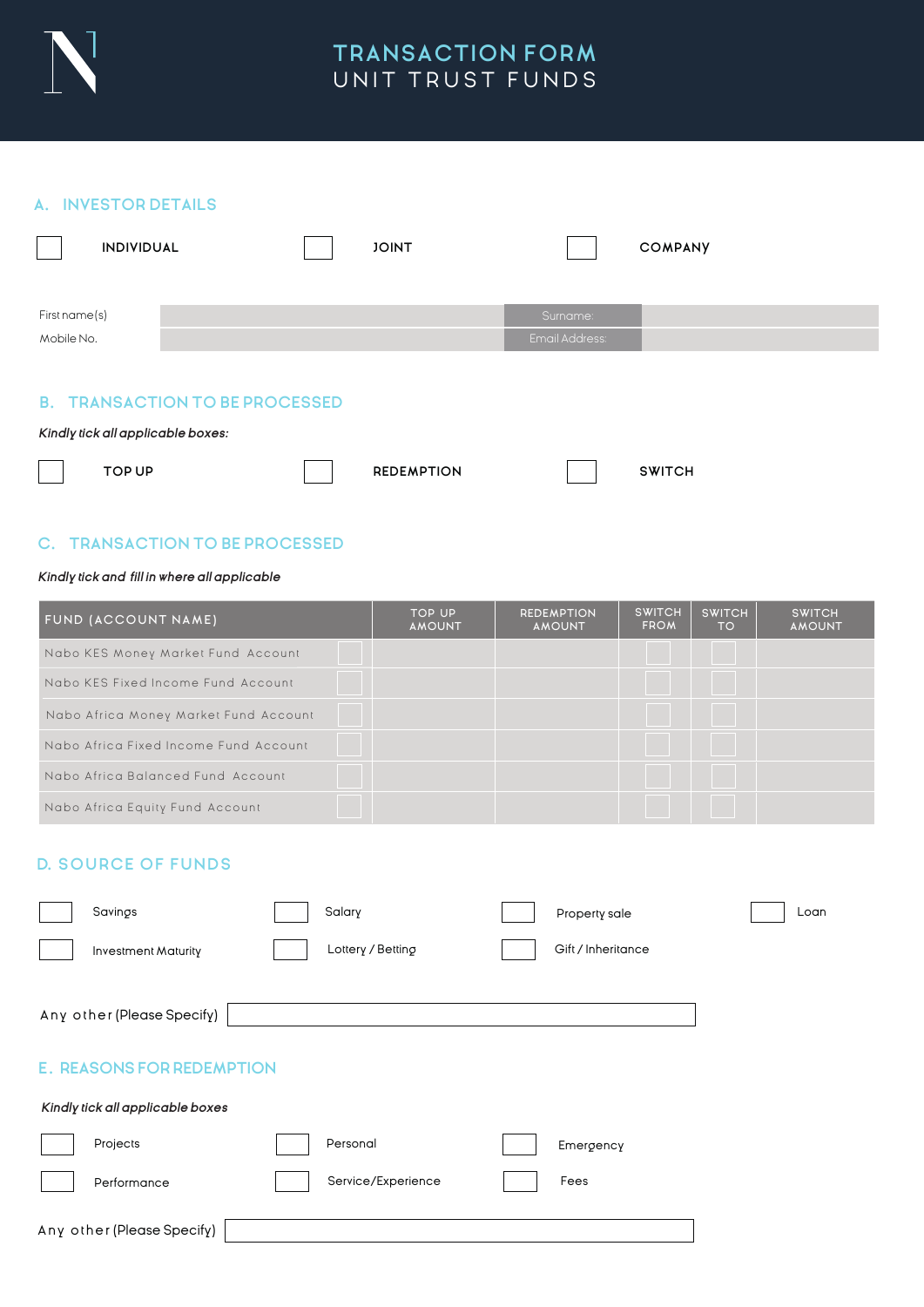

## **TRANSACTION FORM**  UNIT TRUST FUNDS

#### **A. INVESTOR DETAILS**

| INDIVIDUAL    |  | <b>JOINT</b> |                | <b>COMPANY</b> |
|---------------|--|--------------|----------------|----------------|
| First name(s) |  |              | Surname:       |                |
| Mobile No.    |  |              | Email Address: |                |

### **B. TRANSACTION TO BE PROCESSED**

*Kindly tick all applicable boxes:*

| <b>REDEMPTION</b><br>TOP UP | <b>SWITCH</b> |
|-----------------------------|---------------|

# **C. TRANSACTION TO BE PROCESSED**

#### *Kindly tick and fill in where all applicable*

| FUND (ACCOUNT NAME)                   | <b>TOP UP</b><br><b>AMOUNT</b> | <b>REDEMPTION</b><br><b>AMOUNT</b> | <b>SWITCH</b><br><b>FROM</b> | <b>SWITCH</b><br><b>TO</b> | <b>SWITCH</b><br><b>AMOUNT</b> |
|---------------------------------------|--------------------------------|------------------------------------|------------------------------|----------------------------|--------------------------------|
| Nabo KES Money Market Fund Account    |                                |                                    |                              |                            |                                |
| Nabo KES Fixed Income Fund Account    |                                |                                    |                              |                            |                                |
| Nabo Africa Money Market Fund Account |                                |                                    |                              |                            |                                |
| Nabo Africa Fixed Income Fund Account |                                |                                    |                              |                            |                                |
| Nabo Africa Balanced Fund Account     |                                |                                    |                              |                            |                                |
| Nabo Africa Equity Fund Account       |                                |                                    |                              |                            |                                |

## **D. SOURCE OF FUNDS**

| Savings                          | Salary             | Property sale      | Loan |
|----------------------------------|--------------------|--------------------|------|
| Investment Maturity              | Lottery / Betting  | Gift / Inheritance |      |
| Any other (Please Specify)       |                    |                    |      |
| <b>E. REASONS FOR REDEMPTION</b> |                    |                    |      |
| Kindly tick all applicable boxes |                    |                    |      |
| Projects                         | Personal           | Emergency          |      |
| Performance                      | Service/Experience | Fees               |      |
| Any other (Please Specify)       |                    |                    |      |